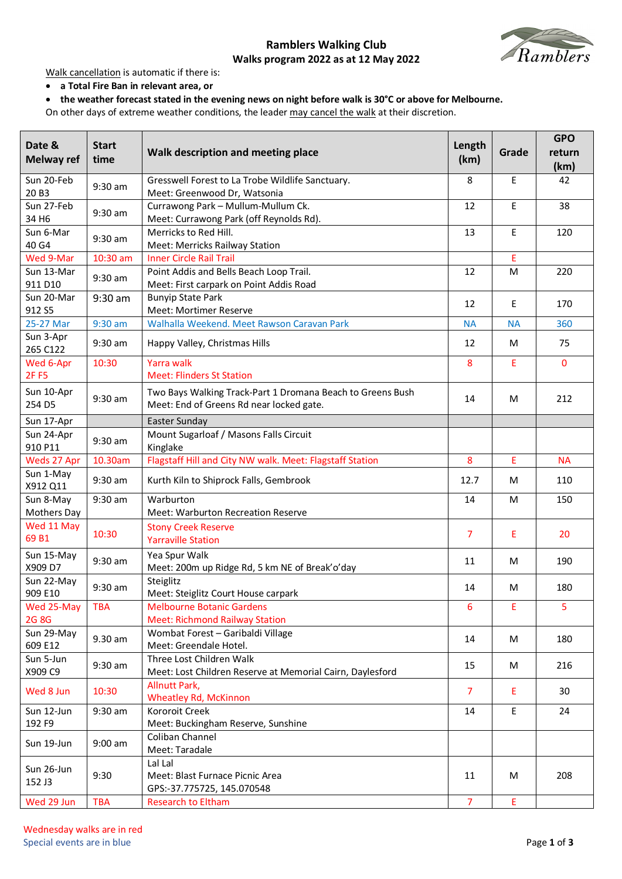## **Ramblers Walking Club**



**Walks program 2022 as at 12 May 2022**

Walk cancellation is automatic if there is:

- **a Total Fire Ban in relevant area, or**
- **the weather forecast stated in the evening news on night before walk is 30°C or above for Melbourne.**

On other days of extreme weather conditions, the leader may cancel the walk at their discretion.

| Date &<br><b>Melway ref</b>     | <b>Start</b><br>time | Walk description and meeting place                                                                     | Length<br>(km) | Grade     | <b>GPO</b><br>return<br>(km) |
|---------------------------------|----------------------|--------------------------------------------------------------------------------------------------------|----------------|-----------|------------------------------|
| Sun 20-Feb<br>20B3              | $9:30$ am            | Gresswell Forest to La Trobe Wildlife Sanctuary.<br>Meet: Greenwood Dr, Watsonia                       | 8              | E         | 42                           |
| Sun 27-Feb<br>34 H <sub>6</sub> | $9:30$ am            | Currawong Park - Mullum-Mullum Ck.<br>Meet: Currawong Park (off Reynolds Rd).                          | 12             | E         | 38                           |
| Sun 6-Mar<br>40 G4              | $9:30$ am            | Merricks to Red Hill.<br>Meet: Merricks Railway Station                                                | 13             | E         | 120                          |
| Wed 9-Mar                       | 10:30 am             | <b>Inner Circle Rail Trail</b>                                                                         |                | E         |                              |
| Sun 13-Mar<br>911 D10           | $9:30$ am            | Point Addis and Bells Beach Loop Trail.<br>Meet: First carpark on Point Addis Road                     | 12             | M         | 220                          |
| Sun 20-Mar<br>912 S5            | $9:30$ am            | <b>Bunyip State Park</b><br>Meet: Mortimer Reserve                                                     | 12             | E         | 170                          |
| 25-27 Mar                       | $9:30$ am            | Walhalla Weekend. Meet Rawson Caravan Park                                                             | <b>NA</b>      | <b>NA</b> | 360                          |
| Sun 3-Apr<br>265 C122           | 9:30 am              | Happy Valley, Christmas Hills                                                                          | 12             | М         | 75                           |
| Wed 6-Apr<br><b>2FF5</b>        | 10:30                | <b>Yarra walk</b><br><b>Meet: Flinders St Station</b>                                                  | 8              | E         | $\Omega$                     |
| Sun 10-Apr<br>254 D5            | $9:30$ am            | Two Bays Walking Track-Part 1 Dromana Beach to Greens Bush<br>Meet: End of Greens Rd near locked gate. | 14             | М         | 212                          |
| Sun 17-Apr                      |                      | Easter Sunday                                                                                          |                |           |                              |
| Sun 24-Apr<br>910 P11           | 9:30 am              | Mount Sugarloaf / Masons Falls Circuit<br>Kinglake                                                     |                |           |                              |
| Weds 27 Apr                     | 10.30am              | Flagstaff Hill and City NW walk. Meet: Flagstaff Station                                               | 8              | Ε         | <b>NA</b>                    |
| Sun 1-May<br>X912 Q11           | $9:30$ am            | Kurth Kiln to Shiprock Falls, Gembrook                                                                 | 12.7           | M         | 110                          |
| Sun 8-May<br>Mothers Day        | 9:30 am              | Warburton<br>Meet: Warburton Recreation Reserve                                                        | 14             | M         | 150                          |
| Wed 11 May<br>69B1              | 10:30                | <b>Stony Creek Reserve</b><br><b>Yarraville Station</b>                                                | 7              | E         | 20                           |
| Sun 15-May<br>X909 D7           | $9:30$ am            | Yea Spur Walk<br>Meet: 200m up Ridge Rd, 5 km NE of Break'o'day                                        | 11             | М         | 190                          |
| Sun 22-May<br>909 E10           | $9:30$ am            | Steiglitz<br>Meet: Steiglitz Court House carpark                                                       | 14             | М         | 180                          |
| Wed 25-May<br><b>2G 8G</b>      | <b>TBA</b>           | <b>Melbourne Botanic Gardens</b><br><b>Meet: Richmond Railway Station</b>                              | 6              | Ε         | 5                            |
| Sun 29-May<br>609 E12           | $9.30$ am            | Wombat Forest - Garibaldi Village<br>Meet: Greendale Hotel.                                            | 14             | M         | 180                          |
| Sun 5-Jun<br>X909 C9            | $9:30$ am            | Three Lost Children Walk<br>Meet: Lost Children Reserve at Memorial Cairn, Daylesford                  | 15             | M         | 216                          |
| Wed 8 Jun                       | 10:30                | <b>Allnutt Park,</b><br><b>Wheatley Rd, McKinnon</b>                                                   | $\overline{7}$ | Е         | 30                           |
| Sun 12-Jun<br>192 F9            | $9:30$ am            | Kororoit Creek<br>Meet: Buckingham Reserve, Sunshine                                                   | 14             | E         | 24                           |
| Sun 19-Jun                      | $9:00$ am            | Coliban Channel<br>Meet: Taradale                                                                      |                |           |                              |
| Sun 26-Jun<br>152 J3            | 9:30                 | Lal Lal<br>Meet: Blast Furnace Picnic Area<br>GPS:-37.775725, 145.070548                               | 11             | M         | 208                          |
| Wed 29 Jun                      | <b>TBA</b>           | <b>Research to Eltham</b>                                                                              | $\overline{7}$ | Ε         |                              |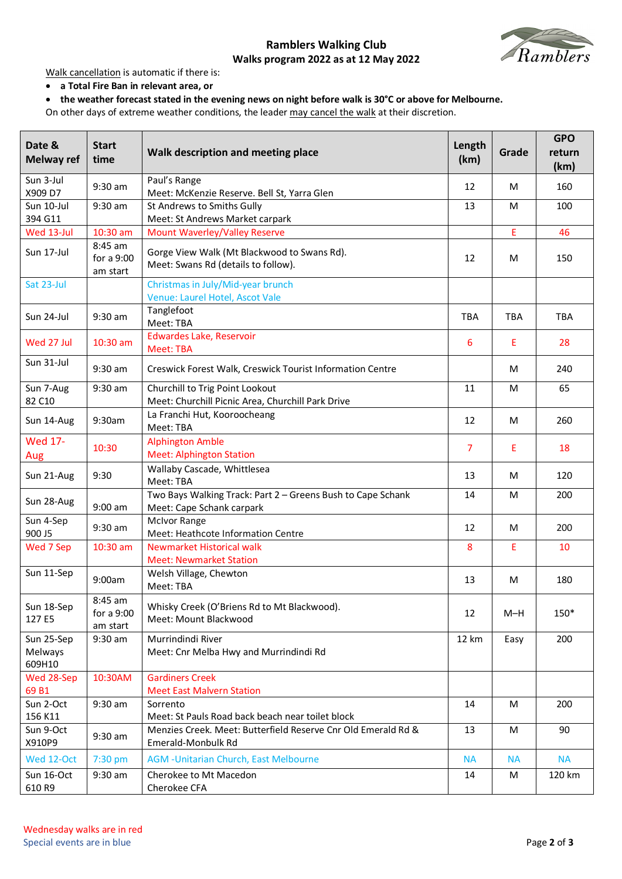## **Ramblers Walking Club**



**Walks program 2022 as at 12 May 2022**

Walk cancellation is automatic if there is:

- **a Total Fire Ban in relevant area, or**
- **the weather forecast stated in the evening news on night before walk is 30°C or above for Melbourne.**

On other days of extreme weather conditions, the leader may cancel the walk at their discretion.

| Date &<br><b>Melway ref</b>     | <b>Start</b><br>time              | Walk description and meeting place                                                       | Length<br>(km) | Grade      | <b>GPO</b><br>return<br>(km) |
|---------------------------------|-----------------------------------|------------------------------------------------------------------------------------------|----------------|------------|------------------------------|
| Sun 3-Jul<br>X909 D7            | $9:30$ am                         | Paul's Range<br>Meet: McKenzie Reserve. Bell St, Yarra Glen                              | 12             | М          | 160                          |
| Sun 10-Jul<br>394 G11           | 9:30 am                           | St Andrews to Smiths Gully<br>Meet: St Andrews Market carpark                            | 13             | M          | 100                          |
| Wed 13-Jul                      | 10:30 am                          | <b>Mount Waverley/Valley Reserve</b>                                                     |                | E          | 46                           |
| Sun 17-Jul                      | 8:45 am<br>for a 9:00<br>am start | Gorge View Walk (Mt Blackwood to Swans Rd).<br>Meet: Swans Rd (details to follow).       | 12             | М          | 150                          |
| Sat 23-Jul                      |                                   | Christmas in July/Mid-year brunch<br>Venue: Laurel Hotel, Ascot Vale                     |                |            |                              |
| Sun 24-Jul                      | 9:30 am                           | Tanglefoot<br>Meet: TBA                                                                  | <b>TBA</b>     | <b>TBA</b> | <b>TBA</b>                   |
| Wed 27 Jul                      | $10:30$ am                        | <b>Edwardes Lake, Reservoir</b><br>Meet: TBA                                             | 6              | Ε          | 28                           |
| Sun 31-Jul                      | 9:30 am                           | Creswick Forest Walk, Creswick Tourist Information Centre                                |                | M          | 240                          |
| Sun 7-Aug<br>82 C10             | 9:30 am                           | Churchill to Trig Point Lookout<br>Meet: Churchill Picnic Area, Churchill Park Drive     | 11             | M          | 65                           |
| Sun 14-Aug                      | 9:30am                            | La Franchi Hut, Kooroocheang<br>Meet: TBA                                                | 12             | М          | 260                          |
| <b>Wed 17-</b><br>Aug           | 10:30                             | <b>Alphington Amble</b><br><b>Meet: Alphington Station</b>                               | 7              | Ε          | 18                           |
| Sun 21-Aug                      | 9:30                              | Wallaby Cascade, Whittlesea<br>Meet: TBA                                                 | 13             | М          | 120                          |
| Sun 28-Aug                      | $9:00$ am                         | Two Bays Walking Track: Part 2 - Greens Bush to Cape Schank<br>Meet: Cape Schank carpark | 14             | M          | 200                          |
| Sun 4-Sep<br>900 J5             | $9:30$ am                         | <b>McIvor Range</b><br>Meet: Heathcote Information Centre                                | 12             | M          | 200                          |
| Wed 7 Sep                       | 10:30 am                          | <b>Newmarket Historical walk</b><br><b>Meet: Newmarket Station</b>                       | 8              | Ε          | 10                           |
| Sun 11-Sep                      | 9:00am                            | Welsh Village, Chewton<br>Meet: TBA                                                      | 13             | M          | 180                          |
| Sun 18-Sep<br>127 E5            | 8:45 am<br>for a 9:00<br>am start | Whisky Creek (O'Briens Rd to Mt Blackwood).<br>Meet: Mount Blackwood                     | 12             | $M-H$      | 150*                         |
| Sun 25-Sep<br>Melways<br>609H10 | 9:30 am                           | Murrindindi River<br>Meet: Cnr Melba Hwy and Murrindindi Rd                              | 12 km          | Easy       | 200                          |
| Wed 28-Sep                      | 10:30AM                           | <b>Gardiners Creek</b>                                                                   |                |            |                              |
| 69B1                            |                                   | <b>Meet East Malvern Station</b>                                                         |                |            |                              |
| Sun 2-Oct<br>156 K11            | 9:30 am                           | Sorrento<br>Meet: St Pauls Road back beach near toilet block                             | 14             | M          | 200                          |
| Sun 9-Oct                       |                                   | Menzies Creek. Meet: Butterfield Reserve Cnr Old Emerald Rd &                            | 13             | M          | 90                           |
| X910P9                          | 9:30 am                           | Emerald-Monbulk Rd                                                                       |                |            |                              |
| Wed 12-Oct                      | 7:30 pm                           | <b>AGM - Unitarian Church, East Melbourne</b>                                            | <b>NA</b>      | <b>NA</b>  | <b>NA</b>                    |
| Sun 16-Oct<br>610R9             | 9:30 am                           | Cherokee to Mt Macedon<br>Cherokee CFA                                                   | 14             | M          | 120 km                       |